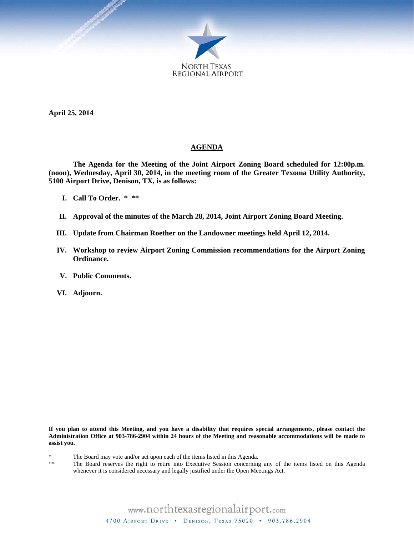

**April 25, 2014** 

## **AGENDA**

**The Agenda for the Meeting of the Joint Airport Zoning Board scheduled for 12:00p.m. (noon), Wednesday, April 30, 2014, in the meeting room of the Greater Texoma Utility Authority, 5100 Airport Drive, Denison, TX, is as follows:** 

- **I. Call To Order. \* \*\***
- **II. Approval of the minutes of the March 28, 2014, Joint Airport Zoning Board Meeting.**
- **III. Update from Chairman Roether on the Landowner meetings held April 12, 2014.**
- **IV. Workshop to review Airport Zoning Commission recommendations for the Airport Zoning Ordinance.**
- **V. Public Comments.**
- **VI. Adjourn.**

**If you plan to attend this Meeting, and you have a disability that requires special arrangements, please contact the Administration Office at 903-786-2904 within 24 hours of the Meeting and reasonable accommodations will be made to assist you.** 

- \* The Board may vote and/or act upon each of the items listed in this Agenda.<br>\*\* The Board reserves the right to rating into Executive Session concerning
- The Board reserves the right to retire into Executive Session concerning any of the items listed on this Agenda whenever it is considered necessary and legally justified under the Open Meetings Act.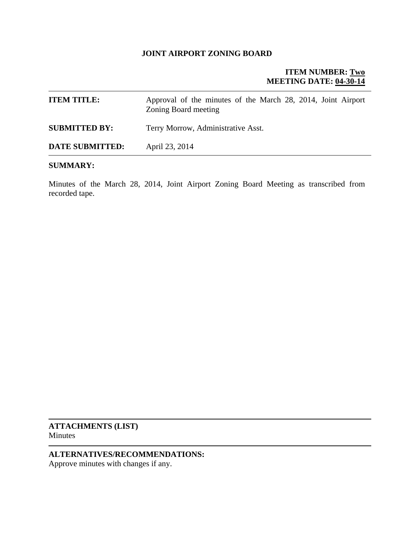## **JOINT AIRPORT ZONING BOARD**

## **ITEM NUMBER: Two MEETING DATE: 04-30-14**

| <b>ITEM TITLE:</b>     | Approval of the minutes of the March 28, 2014, Joint Airport<br>Zoning Board meeting |
|------------------------|--------------------------------------------------------------------------------------|
| <b>SUBMITTED BY:</b>   | Terry Morrow, Administrative Asst.                                                   |
| <b>DATE SUBMITTED:</b> | April 23, 2014                                                                       |

## **SUMMARY:**

Minutes of the March 28, 2014, Joint Airport Zoning Board Meeting as transcribed from recorded tape.

**ATTACHMENTS (LIST)**  Minutes

## **ALTERNATIVES/RECOMMENDATIONS:**

Approve minutes with changes if any.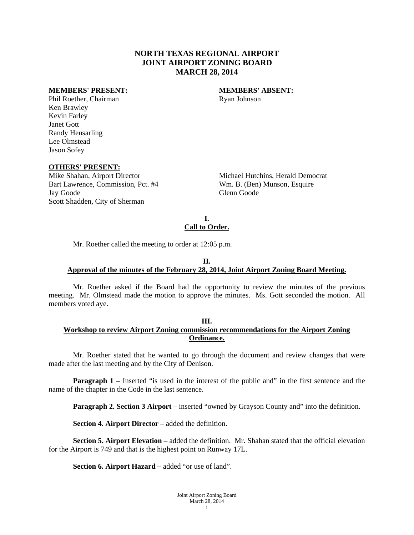## **NORTH TEXAS REGIONAL AIRPORT JOINT AIRPORT ZONING BOARD MARCH 28, 2014**

## **MEMBERS' PRESENT: MEMBERS' ABSENT:**

Phil Roether, Chairman Ryan Johnson Ken Brawley Kevin Farley Janet Gott Randy Hensarling Lee Olmstead Jason Sofey

## **OTHERS' PRESENT:**

Bart Lawrence, Commission, Pct. #4 Wm. B. (Ben) Munson, Esquire Jay Goode Glenn Goode Scott Shadden, City of Sherman

Mike Shahan, Airport Director Michael Hutchins, Herald Democrat

**I. Call to Order.** 

Mr. Roether called the meeting to order at 12:05 p.m.

## **II. Approval of the minutes of the February 28, 2014, Joint Airport Zoning Board Meeting.**

 Mr. Roether asked if the Board had the opportunity to review the minutes of the previous meeting. Mr. Olmstead made the motion to approve the minutes. Ms. Gott seconded the motion. All members voted aye.

## **III. Workshop to review Airport Zoning commission recommendations for the Airport Zoning Ordinance.**

 Mr. Roether stated that he wanted to go through the document and review changes that were made after the last meeting and by the City of Denison.

**Paragraph 1** – Inserted "is used in the interest of the public and" in the first sentence and the name of the chapter in the Code in the last sentence.

**Paragraph 2. Section 3 Airport** – inserted "owned by Grayson County and" into the definition.

**Section 4. Airport Director** – added the definition.

**Section 5. Airport Elevation** – added the definition. Mr. Shahan stated that the official elevation for the Airport is 749 and that is the highest point on Runway 17L.

**Section 6. Airport Hazard** – added "or use of land".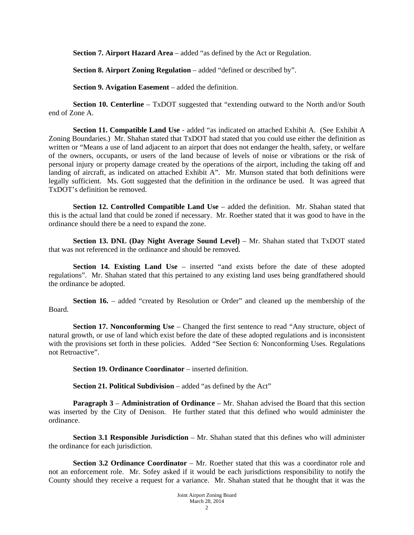**Section 7. Airport Hazard Area** – added "as defined by the Act or Regulation.

**Section 8. Airport Zoning Regulation** – added "defined or described by".

**Section 9. Avigation Easement** – added the definition.

**Section 10. Centerline** – TxDOT suggested that "extending outward to the North and/or South end of Zone A.

**Section 11. Compatible Land Use** - added "as indicated on attached Exhibit A. (See Exhibit A Zoning Boundaries.) Mr. Shahan stated that TxDOT had stated that you could use either the definition as written or "Means a use of land adjacent to an airport that does not endanger the health, safety, or welfare of the owners, occupants, or users of the land because of levels of noise or vibrations or the risk of personal injury or property damage created by the operations of the airport, including the taking off and landing of aircraft, as indicated on attached Exhibit A". Mr. Munson stated that both definitions were legally sufficient. Ms. Gott suggested that the definition in the ordinance be used. It was agreed that TxDOT's definition be removed.

**Section 12. Controlled Compatible Land Use** – added the definition. Mr. Shahan stated that this is the actual land that could be zoned if necessary. Mr. Roether stated that it was good to have in the ordinance should there be a need to expand the zone.

**Section 13. DNL (Day Night Average Sound Level)** – Mr. Shahan stated that TxDOT stated that was not referenced in the ordinance and should be removed.

**Section 14. Existing Land Use** – inserted "and exists before the date of these adopted regulations". Mr. Shahan stated that this pertained to any existing land uses being grandfathered should the ordinance be adopted.

**Section 16.** – added "created by Resolution or Order" and cleaned up the membership of the Board.

**Section 17. Nonconforming Use** – Changed the first sentence to read "Any structure, object of natural growth, or use of land which exist before the date of these adopted regulations and is inconsistent with the provisions set forth in these policies. Added "See Section 6: Nonconforming Uses. Regulations not Retroactive".

**Section 19. Ordinance Coordinator** – inserted definition.

**Section 21. Political Subdivision** – added "as defined by the Act"

**Paragraph 3** – **Administration of Ordinance** – Mr. Shahan advised the Board that this section was inserted by the City of Denison. He further stated that this defined who would administer the ordinance.

**Section 3.1 Responsible Jurisdiction** – Mr. Shahan stated that this defines who will administer the ordinance for each jurisdiction.

**Section 3.2 Ordinance Coordinator** – Mr. Roether stated that this was a coordinator role and not an enforcement role. Mr. Sofey asked if it would be each jurisdictions responsibility to notify the County should they receive a request for a variance. Mr. Shahan stated that he thought that it was the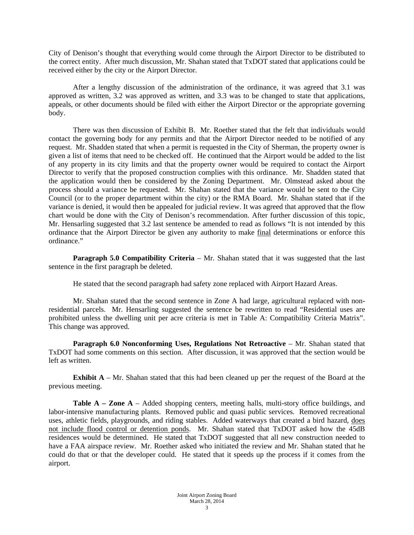City of Denison's thought that everything would come through the Airport Director to be distributed to the correct entity. After much discussion, Mr. Shahan stated that TxDOT stated that applications could be received either by the city or the Airport Director.

After a lengthy discussion of the administration of the ordinance, it was agreed that 3.1 was approved as written, 3.2 was approved as written, and 3.3 was to be changed to state that applications, appeals, or other documents should be filed with either the Airport Director or the appropriate governing body.

There was then discussion of Exhibit B. Mr. Roether stated that the felt that individuals would contact the governing body for any permits and that the Airport Director needed to be notified of any request. Mr. Shadden stated that when a permit is requested in the City of Sherman, the property owner is given a list of items that need to be checked off. He continued that the Airport would be added to the list of any property in its city limits and that the property owner would be required to contact the Airport Director to verify that the proposed construction complies with this ordinance. Mr. Shadden stated that the application would then be considered by the Zoning Department. Mr. Olmstead asked about the process should a variance be requested. Mr. Shahan stated that the variance would be sent to the City Council (or to the proper department within the city) or the RMA Board. Mr. Shahan stated that if the variance is denied, it would then be appealed for judicial review. It was agreed that approved that the flow chart would be done with the City of Denison's recommendation. After further discussion of this topic, Mr. Hensarling suggested that 3.2 last sentence be amended to read as follows "It is not intended by this ordinance that the Airport Director be given any authority to make final determinations or enforce this ordinance."

**Paragraph 5.0 Compatibility Criteria** – Mr. Shahan stated that it was suggested that the last sentence in the first paragraph be deleted.

He stated that the second paragraph had safety zone replaced with Airport Hazard Areas.

Mr. Shahan stated that the second sentence in Zone A had large, agricultural replaced with nonresidential parcels. Mr. Hensarling suggested the sentence be rewritten to read "Residential uses are prohibited unless the dwelling unit per acre criteria is met in Table A: Compatibility Criteria Matrix". This change was approved.

**Paragraph 6.0 Nonconforming Uses, Regulations Not Retroactive** – Mr. Shahan stated that TxDOT had some comments on this section. After discussion, it was approved that the section would be left as written.

**Exhibit A** – Mr. Shahan stated that this had been cleaned up per the request of the Board at the previous meeting.

**Table A – Zone A** – Added shopping centers, meeting halls, multi-story office buildings, and labor-intensive manufacturing plants. Removed public and quasi public services. Removed recreational uses, athletic fields, playgrounds, and riding stables. Added waterways that created a bird hazard, does not include flood control or detention ponds. Mr. Shahan stated that TxDOT asked how the 45dB residences would be determined. He stated that TxDOT suggested that all new construction needed to have a FAA airspace review. Mr. Roether asked who initiated the review and Mr. Shahan stated that he could do that or that the developer could. He stated that it speeds up the process if it comes from the airport.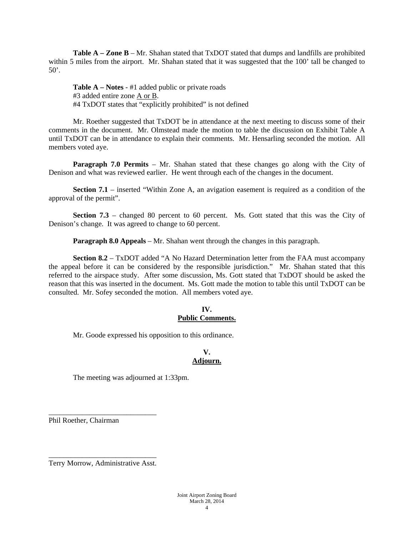**Table A – Zone B** – Mr. Shahan stated that TxDOT stated that dumps and landfills are prohibited within 5 miles from the airport. Mr. Shahan stated that it was suggested that the 100' tall be changed to  $50^\circ$ .

**Table A – Notes** - #1 added public or private roads #3 added entire zone A or B. #4 TxDOT states that "explicitly prohibited" is not defined

Mr. Roether suggested that TxDOT be in attendance at the next meeting to discuss some of their comments in the document. Mr. Olmstead made the motion to table the discussion on Exhibit Table A until TxDOT can be in attendance to explain their comments. Mr. Hensarling seconded the motion. All members voted aye.

**Paragraph 7.0 Permits** – Mr. Shahan stated that these changes go along with the City of Denison and what was reviewed earlier. He went through each of the changes in the document.

**Section 7.1** – inserted "Within Zone A, an avigation easement is required as a condition of the approval of the permit".

**Section 7.3** – changed 80 percent to 60 percent. Ms. Gott stated that this was the City of Denison's change. It was agreed to change to 60 percent.

**Paragraph 8.0 Appeals** – Mr. Shahan went through the changes in this paragraph.

**Section 8.2** – TxDOT added "A No Hazard Determination letter from the FAA must accompany the appeal before it can be considered by the responsible jurisdiction." Mr. Shahan stated that this referred to the airspace study. After some discussion, Ms. Gott stated that TxDOT should be asked the reason that this was inserted in the document. Ms. Gott made the motion to table this until TxDOT can be consulted. Mr. Sofey seconded the motion. All members voted aye.

## **IV. Public Comments.**

Mr. Goode expressed his opposition to this ordinance.

### **V. Adjourn.**

The meeting was adjourned at 1:33pm.

Phil Roether, Chairman

\_\_\_\_\_\_\_\_\_\_\_\_\_\_\_\_\_\_\_\_\_\_\_\_\_\_\_\_\_ Terry Morrow, Administrative Asst.

\_\_\_\_\_\_\_\_\_\_\_\_\_\_\_\_\_\_\_\_\_\_\_\_\_\_\_\_\_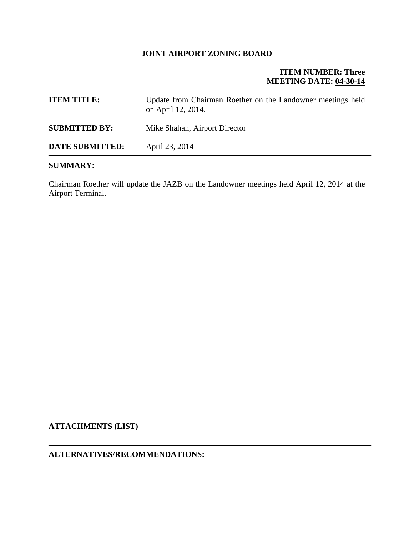## **JOINT AIRPORT ZONING BOARD**

## **ITEM NUMBER: Three MEETING DATE: 04-30-14**

| <b>ITEM TITLE:</b>     | Update from Chairman Roether on the Landowner meetings held<br>on April 12, 2014. |
|------------------------|-----------------------------------------------------------------------------------|
| <b>SUBMITTED BY:</b>   | Mike Shahan, Airport Director                                                     |
| <b>DATE SUBMITTED:</b> | April 23, 2014                                                                    |

## **SUMMARY:**

Chairman Roether will update the JAZB on the Landowner meetings held April 12, 2014 at the Airport Terminal.

## **ATTACHMENTS (LIST)**

## **ALTERNATIVES/RECOMMENDATIONS:**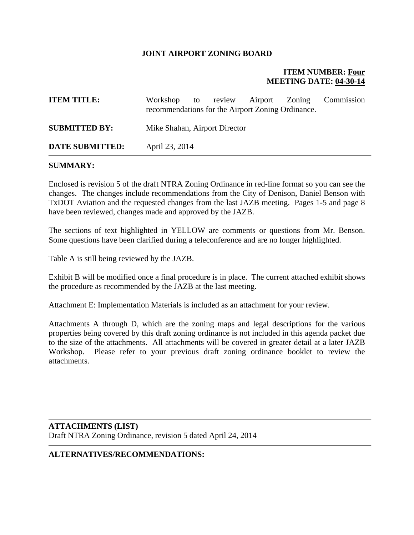## **JOINT AIRPORT ZONING BOARD**

## **ITEM NUMBER: Four MEETING DATE: 04-30-14**

| <b>ITEM TITLE:</b>     | recommendations for the Airport Zoning Ordinance. |  |  | Workshop to review Airport Zoning Commission |
|------------------------|---------------------------------------------------|--|--|----------------------------------------------|
| <b>SUBMITTED BY:</b>   | Mike Shahan, Airport Director                     |  |  |                                              |
| <b>DATE SUBMITTED:</b> | April 23, 2014                                    |  |  |                                              |

## **SUMMARY:**

Enclosed is revision 5 of the draft NTRA Zoning Ordinance in red-line format so you can see the changes. The changes include recommendations from the City of Denison, Daniel Benson with TxDOT Aviation and the requested changes from the last JAZB meeting. Pages 1-5 and page 8 have been reviewed, changes made and approved by the JAZB.

The sections of text highlighted in YELLOW are comments or questions from Mr. Benson. Some questions have been clarified during a teleconference and are no longer highlighted.

Table A is still being reviewed by the JAZB.

Exhibit B will be modified once a final procedure is in place. The current attached exhibit shows the procedure as recommended by the JAZB at the last meeting.

Attachment E: Implementation Materials is included as an attachment for your review.

Attachments A through D, which are the zoning maps and legal descriptions for the various properties being covered by this draft zoning ordinance is not included in this agenda packet due to the size of the attachments. All attachments will be covered in greater detail at a later JAZB Workshop. Please refer to your previous draft zoning ordinance booklet to review the attachments.

**ATTACHMENTS (LIST)**  Draft NTRA Zoning Ordinance, revision 5 dated April 24, 2014

## **ALTERNATIVES/RECOMMENDATIONS:**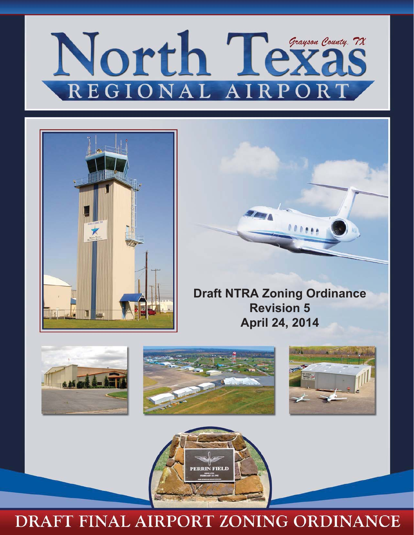# North Tex Grayson County. 7X REGIONAL AIRPOR





**Draft NTRA Zoning Ordinance Revision 5 April 24, 2014**









## DRAFT FINAL AIRPORT ZONING ORDINANCE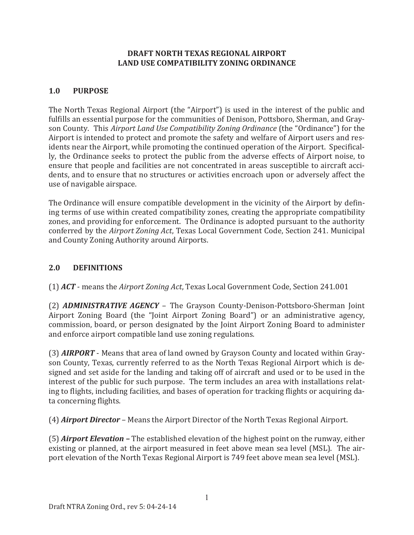## **DRAFT-NORTH-TEXAS-REGIONAL-AIRPORT-LAND USE COMPATIBILITY ZONING ORDINANCE**

#### **1.0- PURPOSE-**

The North Texas Regional Airport (the "Airport") is used in the interest of the public and fulfills an essential purpose for the communities of Denison, Pottsboro, Sherman, and Grayson County. This Airport Land Use Compatibility Zoning Ordinance (the "Ordinance") for the Airport is intended to protect and promote the safety and welfare of Airport users and residents near the Airport, while promoting the continued operation of the Airport. Specifically, the Ordinance seeks to protect the public from the adverse effects of Airport noise, to ensure that people and facilities are not concentrated in areas susceptible to aircraft accidents, and to ensure that no structures or activities encroach upon or adversely affect the use of navigable airspace.

The Ordinance will ensure compatible development in the vicinity of the Airport by defining terms of use within created compatibility zones, creating the appropriate compatibility zones, and providing for enforcement. The Ordinance is adopted pursuant to the authority conferred by the Airport Zoning Act, Texas Local Government Code, Section 241. Municipal and County Zoning Authority around Airports.

#### **2.0- DEFINITIONS**

(1) *ACT* - means the *Airport Zoning Act*, Texas Local Government Code, Section 241.001

(2) **ADMINISTRATIVE AGENCY** - The Grayson County-Denison-Pottsboro-Sherman Joint Airport Zoning Board (the "Joint Airport Zoning Board") or an administrative agency, commission, board, or person designated by the Joint Airport Zoning Board to administer and enforce airport compatible land use zoning regulations.

(3) **AIRPORT** - Means that area of land owned by Grayson County and located within Grayson County, Texas, currently referred to as the North Texas Regional Airport which is designed and set aside for the landing and taking off of aircraft and used or to be used in the interest of the public for such purpose. The term includes an area with installations relating to flights, including facilities, and bases of operation for tracking flights or acquiring data concerning flights.

(4) *Airport Director* – Means the Airport Director of the North Texas Regional Airport.

(5) *Airport Elevation –* The established elevation of the highest point on the runway, either existing or planned, at the airport measured in feet above mean sea level (MSL). The airport elevation of the North Texas Regional Airport is 749 feet above mean sea level (MSL).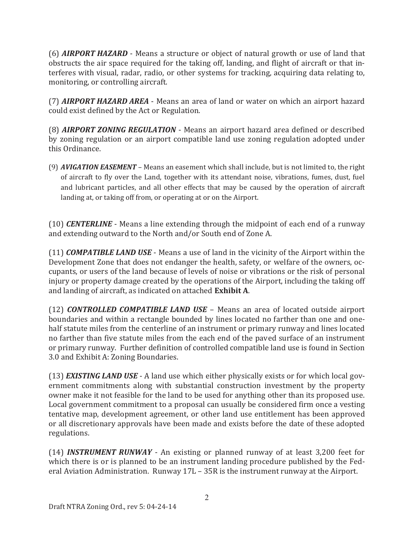(6) **AIRPORT HAZARD** - Means a structure or object of natural growth or use of land that obstructs the air space required for the taking off, landing, and flight of aircraft or that interferes with visual, radar, radio, or other systems for tracking, acquiring data relating to, monitoring, or controlling aircraft.

(7) **AIRPORT HAZARD AREA** - Means an area of land or water on which an airport hazard could exist defined by the Act or Regulation.

(8) *AIRPORT ZONING REGULATION* - Means an airport hazard area defined or described by zoning regulation or an airport compatible land use zoning regulation adopted under this Ordinance.

(9) *AVIGATION EASEMENT* – Means an easement which shall include, but is not limited to, the right of aircraft to fly over the Land, together with its attendant noise, vibrations, fumes, dust, fuel and lubricant particles, and all other effects that may be caused by the operation of aircraft landing at, or taking off from, or operating at or on the Airport.

 $(10)$  **CENTERLINE** - Means a line extending through the midpoint of each end of a runway and extending outward to the North and/or South end of Zone A.

(11) *COMPATIBLE LAND USE* - Means a use of land in the vicinity of the Airport within the Development Zone that does not endanger the health, safety, or welfare of the owners, occupants, or users of the land because of levels of noise or vibrations or the risk of personal injury or property damage created by the operations of the Airport, including the taking off and landing of aircraft, as indicated on attached **Exhibit A**.

(12) *CONTROLLED COMPATIBLE LAND USE -* Means an area of located outside airport boundaries and within a rectangle bounded by lines located no farther than one and onehalf statute miles from the centerline of an instrument or primary runway and lines located no farther than five statute miles from the each end of the paved surface of an instrument or primary runway. Further definition of controlled compatible land use is found in Section 3.0 and Exhibit A: Zoning Boundaries.

(13) **EXISTING LAND USE** - A land use which either physically exists or for which local government commitments along with substantial construction investment by the property owner make it not feasible for the land to be used for anything other than its proposed use. Local government commitment to a proposal can usually be considered firm once a vesting tentative map, development agreement, or other land use entitlement has been approved or all discretionary approvals have been made and exists before the date of these adopted regulations.

(14) **INSTRUMENT RUNWAY** - An existing or planned runway of at least 3,200 feet for which there is or is planned to be an instrument landing procedure published by the Federal Aviation Administration. Runway  $17L - 35R$  is the instrument runway at the Airport.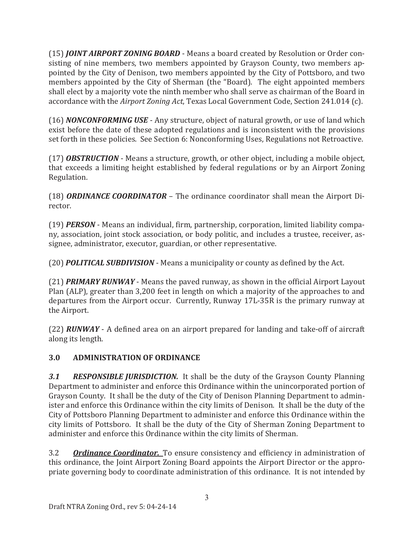(15) *JOINT AIRPORT ZONING BOARD* - Means a board created by Resolution or Order consisting of nine members, two members appointed by Grayson County, two members appointed by the City of Denison, two members appointed by the City of Pottsboro, and two members appointed by the City of Sherman (the "Board). The eight appointed members shall elect by a majority vote the ninth member who shall serve as chairman of the Board in accordance with the *Airport Zoning Act*, Texas Local Government Code, Section 241.014 (c).

(16) **NONCONFORMING USE** - Any structure, object of natural growth, or use of land which exist before the date of these adopted regulations and is inconsistent with the provisions set forth in these policies. See Section 6: Nonconforming Uses, Regulations not Retroactive.

(17) *OBSTRUCTION* - Means a structure, growth, or other object, including a mobile object, that exceeds a limiting height established by federal regulations or by an Airport Zoning Regulation.

(18) **ORDINANCE COORDINATOR** - The ordinance coordinator shall mean the Airport Director.

(19) PERSON - Means an individual, firm, partnership, corporation, limited liability company, association, joint stock association, or body politic, and includes a trustee, receiver, assignee, administrator, executor, guardian, or other representative.

(20) **POLITICAL SUBDIVISION** - Means a municipality or county as defined by the Act.

(21) **PRIMARY RUNWAY** - Means the paved runway, as shown in the official Airport Layout Plan (ALP), greater than 3,200 feet in length on which a majority of the approaches to and departures from the Airport occur. Currently, Runway 17L-35R is the primary runway at the Airport.

(22) **RUNWAY** - A defined area on an airport prepared for landing and take-off of aircraft along its length.

#### **3.0- ADMINISTRATION-OF-ORDINANCE-**

*3.1-***RESPONSIBLE JURISDICTION.** It shall be the duty of the Grayson County Planning Department to administer and enforce this Ordinance within the unincorporated portion of Grayson County. It shall be the duty of the City of Denison Planning Department to administer and enforce this Ordinance within the city limits of Denison. It shall be the duty of the City of Pottsboro Planning Department to administer and enforce this Ordinance within the city limits of Pottsboro. It shall be the duty of the City of Sherman Zoning Department to administer and enforce this Ordinance within the city limits of Sherman.

3.2 Ordinance Coordinator. To ensure consistency and efficiency in administration of this ordinance, the Joint Airport Zoning Board appoints the Airport Director or the appropriate governing body to coordinate administration of this ordinance. It is not intended by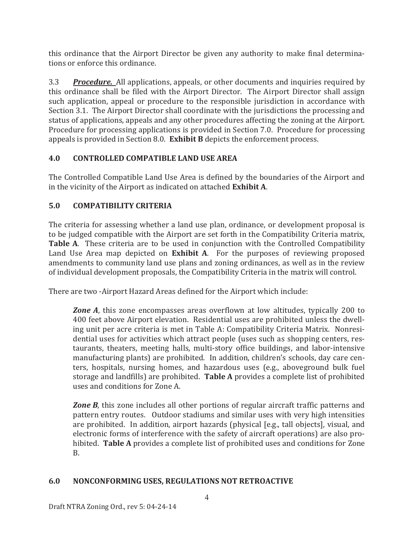this ordinance that the Airport Director be given any authority to make final determinations or enforce this ordinance.

3.3 Procedure. All applications, appeals, or other documents and inquiries required by this ordinance shall be filed with the Airport Director. The Airport Director shall assign such application, appeal or procedure to the responsible jurisdiction in accordance with Section 3.1. The Airport Director shall coordinate with the jurisdictions the processing and status of applications, appeals and any other procedures affecting the zoning at the Airport. Procedure for processing applications is provided in Section 7.0. Procedure for processing appeals is provided in Section 8.0. Exhibit B depicts the enforcement process.

#### **4.0- CONTROLLED-COMPATIBLE-LAND-USE-AREA-**

The Controlled Compatible Land Use Area is defined by the boundaries of the Airport and in the vicinity of the Airport as indicated on attached Exhibit A.

#### **5.0- COMPATIBILITY-CRITERIA-**

The criteria for assessing whether a land use plan, ordinance, or development proposal is to be judged compatible with the Airport are set forth in the Compatibility Criteria matrix, Table A. These criteria are to be used in conjunction with the Controlled Compatibility Land Use Area map depicted on Exhibit A. For the purposes of reviewing proposed amendments to community land use plans and zoning ordinances, as well as in the review of individual development proposals, the Compatibility Criteria in the matrix will control.

There are two -Airport Hazard Areas defined for the Airport which include:

**Zone A**, this zone encompasses areas overflown at low altitudes, typically 200 to 400 feet above Airport elevation. Residential uses are prohibited unless the dwelling unit per acre criteria is met in Table A: Compatibility Criteria Matrix. Nonresidential uses for activities which attract people (uses such as shopping centers, restaurants, theaters, meeting halls, multi-story office buildings, and labor-intensive manufacturing plants) are prohibited. In addition, children's schools, day care centers, hospitals, nursing homes, and hazardous uses (e.g., aboveground bulk fuel storage and landfills) are prohibited. Table A provides a complete list of prohibited uses and conditions for Zone A.

**Zone B**, this zone includes all other portions of regular aircraft traffic patterns and pattern entry routes. Outdoor stadiums and similar uses with very high intensities are prohibited. In addition, airport hazards (physical [e.g., tall objects], visual, and electronic forms of interference with the safety of aircraft operations) are also prohibited. Table A provides a complete list of prohibited uses and conditions for Zone  $B<sub>r</sub>$ 

#### **6.0- NONCONFORMING-USES,-REGULATIONS-NOT-RETROACTIVE**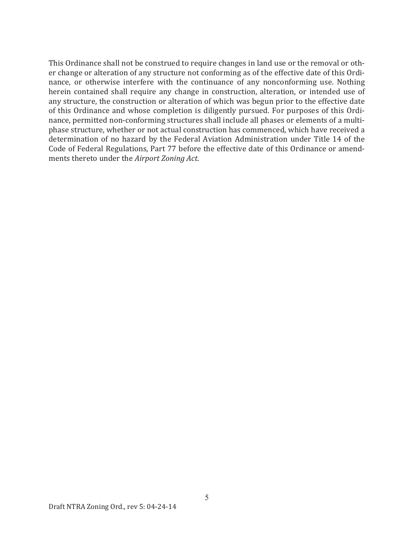This Ordinance shall not be construed to require changes in land use or the removal or other change or alteration of any structure not conforming as of the effective date of this Ordinance, or otherwise interfere with the continuance of any nonconforming use. Nothing herein contained shall require any change in construction, alteration, or intended use of any structure, the construction or alteration of which was begun prior to the effective date of this Ordinance and whose completion is diligently pursued. For purposes of this Ordinance, permitted non-conforming structures shall include all phases or elements of a multiphase structure, whether or not actual construction has commenced, which have received a determination of no hazard by the Federal Aviation Administration under Title 14 of the Code of Federal Regulations, Part 77 before the effective date of this Ordinance or amendments thereto under the Airport Zoning Act.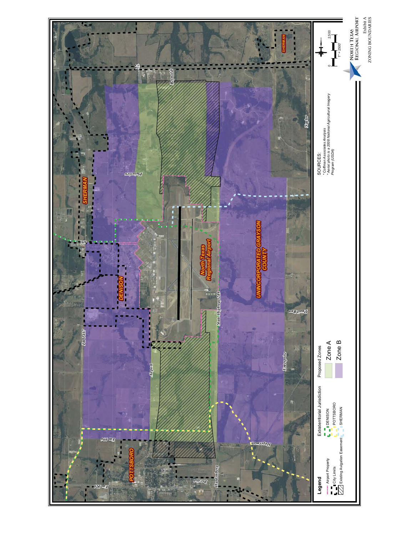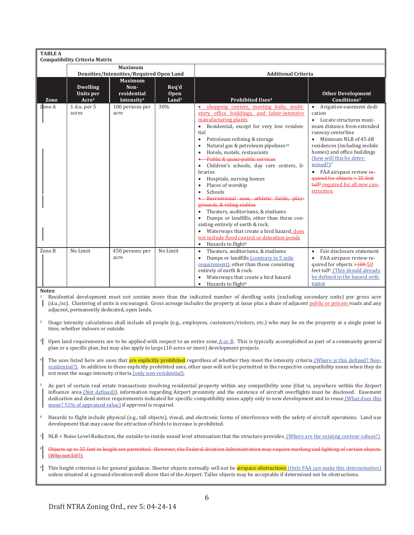| <b>TABLE A</b><br><b>Compatibility Criteria Matrix</b> |                                                            |                                                                 |                                           |                                                                                                                                                                                                                                                                                                                                                                                                                                                                                                                                                                                                                                                                                                                                                                                                                                                                                         |                                                                                                                                                                                                                                                                                                                                                                                                                     |  |
|--------------------------------------------------------|------------------------------------------------------------|-----------------------------------------------------------------|-------------------------------------------|-----------------------------------------------------------------------------------------------------------------------------------------------------------------------------------------------------------------------------------------------------------------------------------------------------------------------------------------------------------------------------------------------------------------------------------------------------------------------------------------------------------------------------------------------------------------------------------------------------------------------------------------------------------------------------------------------------------------------------------------------------------------------------------------------------------------------------------------------------------------------------------------|---------------------------------------------------------------------------------------------------------------------------------------------------------------------------------------------------------------------------------------------------------------------------------------------------------------------------------------------------------------------------------------------------------------------|--|
|                                                        | <b>Maximum</b><br>Densities/Intensities/Required Open Land |                                                                 |                                           | <b>Additional Criteria</b>                                                                                                                                                                                                                                                                                                                                                                                                                                                                                                                                                                                                                                                                                                                                                                                                                                                              |                                                                                                                                                                                                                                                                                                                                                                                                                     |  |
| Zone                                                   | <b>Dwelling</b><br>Units per<br>Acre <sup>1</sup>          | <b>Maximum</b><br>Non-<br>residential<br>Intensity <sup>2</sup> | Req'd<br><b>Open</b><br>Land <sup>3</sup> | <b>Prohibited Uses<sup>4</sup></b>                                                                                                                                                                                                                                                                                                                                                                                                                                                                                                                                                                                                                                                                                                                                                                                                                                                      | <b>Other Development</b><br>Conditions <sup>5</sup>                                                                                                                                                                                                                                                                                                                                                                 |  |
| Zone A                                                 | 1 d.u. per 5<br>acres                                      | 100 persons per<br>acre                                         | 30%                                       | shopping centers, meeting halls, multi-<br>story office buildings, and labor-intensive<br>manufacturing plants<br>Residential, except for very low residen-<br>$\bullet$<br>tial<br>Petroleum refining & storage<br>٠<br>Natural gas & petroleum pipelines <sup>10</sup><br>٠<br>Hotels, motels, restaurants<br>٠<br>Public & quasi-public services<br>Children's schools, day care centers, li-<br>$\bullet$<br>braries<br>Hospitals, nursing homes<br>٠<br>Places of worship<br>$\bullet$<br>Schools<br>٠<br>Recreational uses, athletic fields, play-<br>grounds, & riding stables<br>Theaters, auditoriums, & stadiums<br>$\bullet$<br>Dumps or landfills, other than those con-<br>٠<br>sisting entirely of earth & rock.<br>Waterways that create a bird hazard, does<br>$\bullet$<br>not include flood control or detention ponds<br>Hazards to flight <sup>6</sup><br>$\bullet$ | Avigation easement dedi-<br>cation<br>Locate structures maxi-<br>$\bullet$<br>mum distance from extended<br>runway centerline<br>Minimum NLR of 45 dB<br>residences (including mobile<br>homes) and office buildings<br>(how will this be deter-<br>mined?) <sup>7</sup><br>FAA airspace review <b>re-</b><br>$\bullet$<br>quired for objects > 35 feet<br>tall <sup>8</sup> required for all new con-<br>struction |  |
| Zone B                                                 | No Limit                                                   | 450 persons per<br>acre                                         | No Limit                                  | Theaters, auditoriums, & stadiums<br>$\bullet$<br>Dumps or landfills (contrary to 5 mile<br>٠<br>requirement), other than those consisting<br>entirely of earth & rock.<br>Waterways that create a bird hazard<br>Hazards to flight <sup>6</sup>                                                                                                                                                                                                                                                                                                                                                                                                                                                                                                                                                                                                                                        | Fair disclosure statement<br>FAA airspace review re-<br>quired for objects > 100-50<br>feet tall <sup>9</sup> (This should already<br>be defined in the hazard ordi-<br>nance                                                                                                                                                                                                                                       |  |

#### Notes:

Residential development must not contain more than the indicated number of dwelling units (excluding secondary units) per gross acre (d.u./ac). Clustering of units is encouraged. Gross acreage includes the property at issue plus a share of adjacent public or private roads and any adjacent, permanently dedicated, open lands.

- $\sqrt{2}$ Usage intensity calculations shall include all people (e.g., employees, customers/visitors, etc.) who may be on the property at a single point in time, whether indoors or outside.
- $\mathbf{3}$ Open land requirements are to be applied with respect to an entire zone  $A$  or  $B$ . This is typically accomplished as part of a community general plan or a specific plan, but may also apply to large (10 acres or more) development projects.
- The uses listed here are ones that are explicitly prohibited regardless of whether they meet the intensity criteria (Where is this defined? Nonresidential?). In addition to these explicitly prohibited uses, other uses will not be permitted in the respective compatibility zones when they do not meet the usage intensity criteria (only non-residential).
- As part of certain real estate transactions involving residential property within any compatibility zone (that is, anywhere within the Airport influence area (Not defined)), information regarding Airport proximity and the existence of aircraft overflights must be disclosed. Easement dedication and deed notice requirements indicated for specific compatibility zones apply only to new development and to reuse (What does this mean? 51% of appraised value) if approval is required.
- Hazards to flight include physical (e.g., tall objects), visual, and electronic forms of interference with the safety of aircraft operations. Land use development that may cause the attraction of birds to increase is prohibited.
- $7\frac{1}{2}$ NLR = Noise Level Reduction, the outside-to-inside sound level attenuation that the structure provides. (Where are the existing contour values?)
- Objects up to 35 feet in height are permitted. However, the Federal Aviation Administration may require marking and lighting of certain objects (Why not 50'?)
- $9<sub>1</sub>$ This height criterion is for general guidance. Shorter objects normally will not be airspace obstructions (Only FAA can make this determination) unless situated at a ground elevation well above that of the Airport. Taller objects may be acceptable if determined not be obstructions.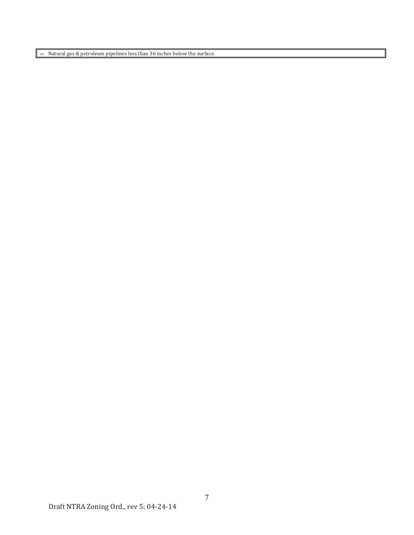$\sqrt{10}$  Natural gas & petroleum pipelines less than 36 inches below the surface.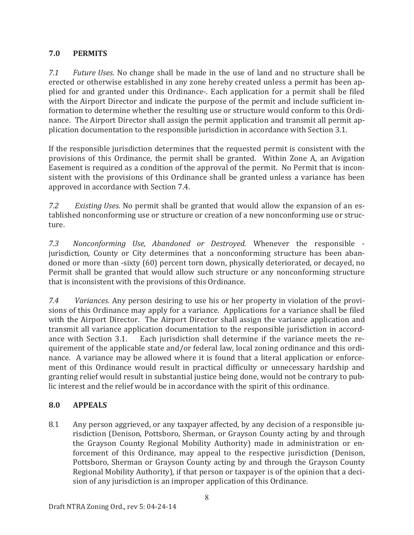#### $7.0$ **PERMITS**

Future Uses. No change shall be made in the use of land and no structure shall be  $7.1$ erected or otherwise established in any zone hereby created unless a permit has been applied for and granted under this Ordinance-. Each application for a permit shall be filed with the Airport Director and indicate the purpose of the permit and include sufficient information to determine whether the resulting use or structure would conform to this Ordinance. The Airport Director shall assign the permit application and transmit all permit application documentation to the responsible jurisdiction in accordance with Section 3.1.

If the responsible jurisdiction determines that the requested permit is consistent with the provisions of this Ordinance, the permit shall be granted. Within Zone A, an Avigation Easement is required as a condition of the approval of the permit. No Permit that is inconsistent with the provisions of this Ordinance shall be granted unless a variance has been approved in accordance with Section 7.4.

 $7.2$ *Existing Uses.* No permit shall be granted that would allow the expansion of an established nonconforming use or structure or creation of a new nonconforming use or structure.

 $7.3$ Nonconforming Use, Abandoned or Destroved. Whenever the responsible jurisdiction, County or City determines that a nonconforming structure has been abandoned or more than -sixty (60) percent torn down, physically deteriorated, or decayed, no Permit shall be granted that would allow such structure or any nonconforming structure that is inconsistent with the provisions of this Ordinance.

 $7.4$ Variances. Any person desiring to use his or her property in violation of the provisions of this Ordinance may apply for a variance. Applications for a variance shall be filed with the Airport Director. The Airport Director shall assign the variance application and transmit all variance application documentation to the responsible jurisdiction in accordance with Section 3.1. Each jurisdiction shall determine if the variance meets the requirement of the applicable state and/or federal law, local zoning ordinance and this ordinance. A variance may be allowed where it is found that a literal application or enforcement of this Ordinance would result in practical difficulty or unnecessary hardship and granting relief would result in substantial justice being done, would not be contrary to public interest and the relief would be in accordance with the spirit of this ordinance.

#### 8.0 **APPEALS**

8.1 Any person aggrieved, or any taxpayer affected, by any decision of a responsible jurisdiction (Denison, Pottsboro, Sherman, or Grayson County acting by and through the Grayson County Regional Mobility Authority) made in administration or enforcement of this Ordinance, may appeal to the respective jurisdiction (Denison, Pottsboro, Sherman or Grayson County acting by and through the Grayson County Regional Mobility Authority), if that person or taxpayer is of the opinion that a decision of any jurisdiction is an improper application of this Ordinance.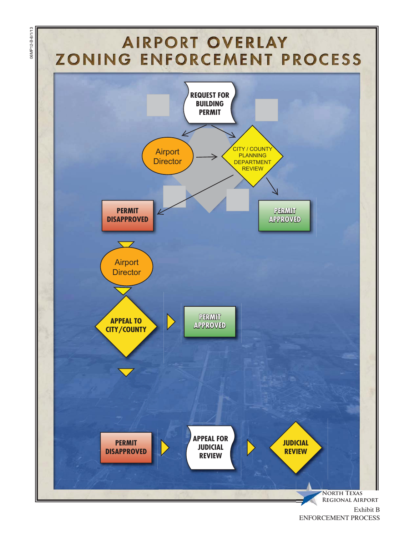

06MP12-B-8/1/13

06MP12-B-8/1/13



ENFORCEMENT PROCESS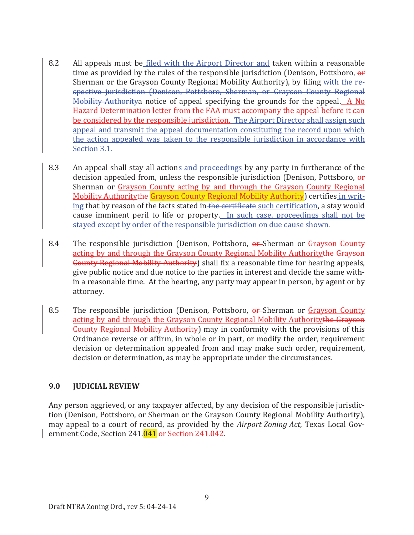- 8.2 All appeals must be filed with the Airport Director and taken within a reasonable time as provided by the rules of the responsible jurisdiction (Denison, Pottsboro, or Sherman or the Grayson County Regional Mobility Authority), by filing with the respective jurisdiction (Denison, Pottsboro, Sherman, or Grayson County Regional Mobility Authority anotice of appeal specifying the grounds for the appeal. A No Hazard Determination letter from the FAA must accompany the appeal before it can be considered by the responsible jurisdiction. The Airport Director shall assign such appeal and transmit the appeal documentation constituting the record upon which the action appealed was taken to the responsible jurisdiction in accordance with Section 3.1.
- 8.3 An appeal shall stay all actions and proceedings by any party in furtherance of the decision appealed from, unless the responsible jurisdiction (Denison, Pottsboro, or Sherman or Grayson County acting by and through the Grayson County Regional Mobility Authority the Grayson County Regional Mobility Authority) certifies in writing that by reason of the facts stated in the certificate such certification, a stay would cause imminent peril to life or property. In such case, proceedings shall not be stayed except by order of the responsible jurisdiction on due cause shown.
- 8.4 The responsible jurisdiction (Denison, Pottsboro, <del>or</del>-Sherman or Grayson County acting by and through the Grayson County Regional Mobility Authoritythe Grayson County Regional Mobility Authority) shall fix a reasonable time for hearing appeals, give public notice and due notice to the parties in interest and decide the same within a reasonable time. At the hearing, any party may appear in person, by agent or by attorney.
- The responsible jurisdiction (Denison, Pottsboro, <del>or</del>-Sherman or Grayson County 8.5 acting by and through the Grayson County Regional Mobility Authority the Grayson **County Regional Mobility Authority**) may in conformity with the provisions of this Ordinance reverse or affirm, in whole or in part, or modify the order, requirement decision or determination appealed from and may make such order, requirement, decision or determination, as may be appropriate under the circumstances.

#### 9.0 **JUDICIAL REVIEW**

Any person aggrieved, or any taxpayer affected, by any decision of the responsible jurisdiction (Denison, Pottsboro, or Sherman or the Grayson County Regional Mobility Authority), may appeal to a court of record, as provided by the Airport Zoning Act, Texas Local Government Code, Section 241.041 or Section 241.042.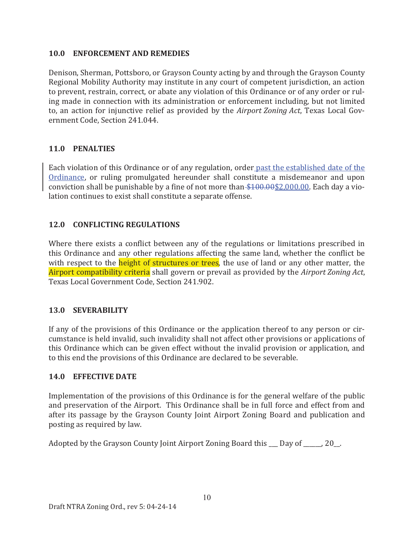## 10.0 ENFORCEMENT AND REMEDIES

Denison, Sherman, Pottsboro, or Grayson County acting by and through the Grayson County Regional Mobility Authority may institute in any court of competent jurisdiction, an action to prevent, restrain, correct, or abate any violation of this Ordinance or of any order or ruling made in connection with its administration or enforcement including, but not limited to, an action for injunctive relief as provided by the *Airport Zoning Act*, Texas Local Government Code, Section 241,044.

## 11.0 PENALTIES

Each violation of this Ordinance or of any regulation, order past the established date of the Ordinance, or ruling promulgated hereunder shall constitute a misdemeanor and upon conviction shall be punishable by a fine of not more than  $$100.00$2,000.00$ . Each day a violation continues to exist shall constitute a separate offense.

## **12.0- CONFLICTING-REGULATIONS**

Where there exists a conflict between any of the regulations or limitations prescribed in this Ordinance and any other regulations affecting the same land, whether the conflict be with respect to the **height of structures or trees**, the use of land or any other matter, the Airport compatibility criteria shall govern or prevail as provided by the Airport Zoning Act, Texas Local Government Code, Section 241,902.

## 13.0 SEVERABILITY

If any of the provisions of this Ordinance or the application thereof to any person or circumstance is held invalid, such invalidity shall not affect other provisions or applications of this Ordinance which can be given effect without the invalid provision or application, and to this end the provisions of this Ordinance are declared to be severable.

## 14.0 **EFFECTIVE DATE**

Implementation of the provisions of this Ordinance is for the general welfare of the public and preservation of the Airport. This Ordinance shall be in full force and effect from and after its passage by the Grayson County Joint Airport Zoning Board and publication and posting as required by law.

Adopted by the Grayson County Joint Airport Zoning Board this Day of 30.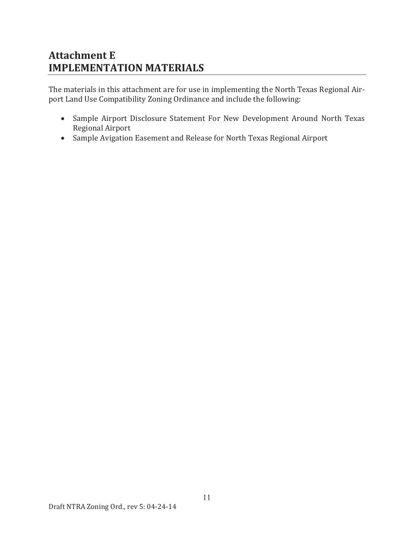## **Attachment E IMPLEMENTATION MATERIALS**

The materials in this attachment are for use in implementing the North Texas Regional Airport Land Use Compatibility Zoning Ordinance and include the following:

- Sample Airport Disclosure Statement For New Development Around North Texas Regional Airport
- Sample Avigation Easement and Release for North Texas Regional Airport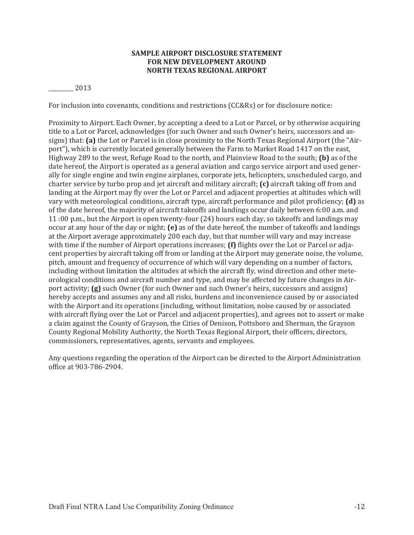## SAMPLE AIRPORT DISCLOSURE STATEMENT **FOR NEW DEVELOPMENT AROUND NORTH TEXAS REGIONAL AIRPORT**

2013

For inclusion into covenants, conditions and restrictions (CC&Rs) or for disclosure notice:

Proximity to Airport. Each Owner, by accepting a deed to a Lot or Parcel, or by otherwise acquiring title to a Lot or Parcel, acknowledges (for such Owner and such Owner's heirs, successors and assigns) that: (a) the Lot or Parcel is in close proximity to the North Texas Regional Airport (the "Airport"), which is currently located generally between the Farm to Market Road 1417 on the east, Highway 289 to the west, Refuge Road to the north, and Plainview Road to the south; (b) as of the date hereof, the Airport is operated as a general aviation and cargo service airport and used generally for single engine and twin engine airplanes, corporate jets, helicopters, unscheduled cargo, and charter service by turbo prop and jet aircraft and military aircraft; (c) aircraft taking off from and landing at the Airport may fly over the Lot or Parcel and adjacent properties at altitudes which will vary with meteorological conditions, aircraft type, aircraft performance and pilot proficiency; (d) as of the date hereof, the majority of aircraft takeoffs and landings occur daily between 6:00 a.m. and 11:00 p.m., but the Airport is open twenty-four (24) hours each day, so takeoffs and landings may occur at any hour of the day or night; (e) as of the date hereof, the number of takeoffs and landings at the Airport average approximately 200 each day, but that number will vary and may increase with time if the number of Airport operations increases; (f) flights over the Lot or Parcel or adjacent properties by aircraft taking off from or landing at the Airport may generate noise, the volume, pitch, amount and frequency of occurrence of which will vary depending on a number of factors, including without limitation the altitudes at which the aircraft fly, wind direction and other meteorological conditions and aircraft number and type, and may be affected by future changes in Airport activity; (g) such Owner (for such Owner and such Owner's heirs, successors and assigns) hereby accepts and assumes any and all risks, burdens and inconvenience caused by or associated with the Airport and its operations (including, without limitation, noise caused by or associated with aircraft flying over the Lot or Parcel and adjacent properties), and agrees not to assert or make a claim against the County of Grayson, the Cities of Denison, Pottsboro and Sherman, the Grayson County Regional Mobility Authority, the North Texas Regional Airport, their officers, directors, commissioners, representatives, agents, servants and employees.

Any questions regarding the operation of the Airport can be directed to the Airport Administration office at 903-786-2904.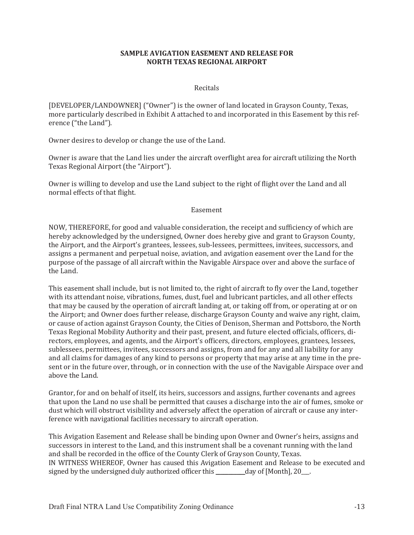## **SAMPLE AVIGATION EASEMENT AND RELEASE FOR NORTH TEXAS REGIONAL AIRPORT**

## Recitals

[DEVELOPER/LANDOWNER] ("Owner") is the owner of land located in Grayson County, Texas, more particularly described in Exhibit A attached to and incorporated in this Easement by this reference ("the Land").

Owner desires to develop or change the use of the Land.

Owner is aware that the Land lies under the aircraft overflight area for aircraft utilizing the North Texas Regional Airport (the "Airport").

Owner is willing to develop and use the Land subject to the right of flight over the Land and all normal effects of that flight.

## Easement

NOW, THEREFORE, for good and valuable consideration, the receipt and sufficiency of which are hereby acknowledged by the undersigned, Owner does hereby give and grant to Grayson County, the Airport, and the Airport's grantees, lessees, sub-lessees, permittees, invitees, successors, and assigns a permanent and perpetual noise, aviation, and avigation easement over the Land for the purpose of the passage of all aircraft within the Navigable Airspace over and above the surface of the Land.

This easement shall include, but is not limited to, the right of aircraft to fly over the Land, together with its attendant noise, vibrations, fumes, dust, fuel and lubricant particles, and all other effects that may be caused by the operation of aircraft landing at, or taking off from, or operating at or on the Airport; and Owner does further release, discharge Grayson County and waive any right, claim, or cause of action against Grayson County, the Cities of Denison, Sherman and Pottsboro, the North Texas Regional Mobility Authority and their past, present, and future elected officials, officers, directors, employees, and agents, and the Airport's officers, directors, employees, grantees, lessees, sublessees, permittees, invitees, successors and assigns, from and for any and all liability for any and all claims for damages of any kind to persons or property that may arise at any time in the present or in the future over, through, or in connection with the use of the Navigable Airspace over and above the Land.

Grantor, for and on behalf of itself, its heirs, successors and assigns, further covenants and agrees that upon the Land no use shall be permitted that causes a discharge into the air of fumes, smoke or dust which will obstruct visibility and adversely affect the operation of aircraft or cause any interference with navigational facilities necessary to aircraft operation.

This Avigation Easement and Release shall be binding upon Owner and Owner's heirs, assigns and successors in interest to the Land, and this instrument shall be a covenant running with the land and shall be recorded in the office of the County Clerk of Grayson County, Texas. IN WITNESS WHEREOF, Owner has caused this Avigation Easement and Release to be executed and signed by the undersigned duly authorized officer this \_\_\_\_\_\_\_\_\_\_\_\_day of [Month], 20\_\_\_.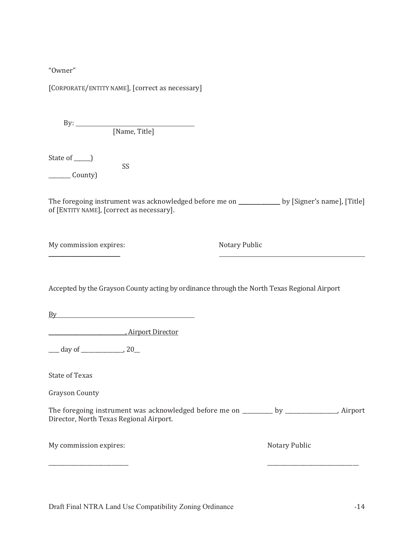"Owner"

[CORPORATE/ENTITY NAME], [correct as necessary]

| By: |               |
|-----|---------------|
|     | [Name, Title] |

 $SS$ 

,
OOOOOO&

Lateratory County)

The foregoing instrument was acknowledged before me on \_\_\_\_\_\_\_\_\_\_\_ by [Signer's name], [Title] of [ENTITY NAME], [correct as necessary].

My commission expires: Notary Public

Accepted by the Grayson County acting by ordinance through the North Texas Regional Airport

<u>By example and the set of the set of the set of the set of the set of the set of the set of the set of the set of the set of the set of the set of the set of the set of the set of the set of the set of the set of the set </u>

OOOOOOOOOOOOOOOOOOOOOOOOOOOOO"
-)

OOOO.
OOOOOOOOOOOOOOOOOO

**State of Texas** 

Grayson County

The foregoing instrument was acknowledged before me on \_\_\_\_\_\_\_\_ by \_\_\_\_\_\_\_\_\_\_\_\_\_\_\_, Airport Director, North Texas Regional Airport.

Notary Public